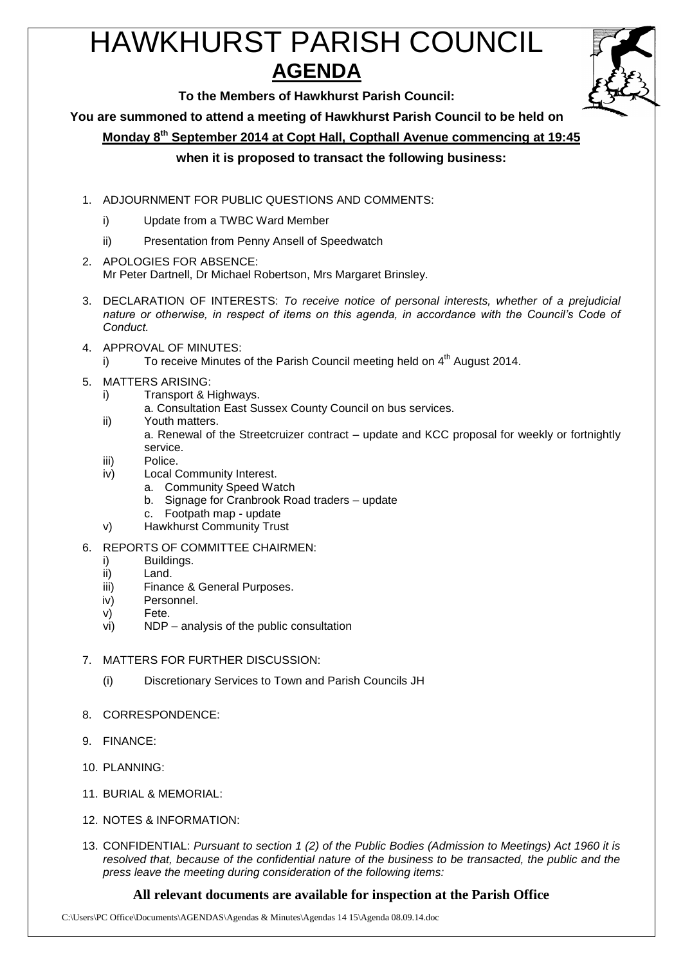# HAWKHURST PARISH COUNCIL **AGENDA**



**To the Members of Hawkhurst Parish Council:**

**You are summoned to attend a meeting of Hawkhurst Parish Council to be held on**

**Monday 8 th September 2014 at Copt Hall, Copthall Avenue commencing at 19:45**

**when it is proposed to transact the following business:**

- 1. ADJOURNMENT FOR PUBLIC QUESTIONS AND COMMENTS:
	- i) Update from a TWBC Ward Member
	- ii) Presentation from Penny Ansell of Speedwatch
- 2. APOLOGIES FOR ABSENCE: Mr Peter Dartnell, Dr Michael Robertson, Mrs Margaret Brinsley.
- 3. DECLARATION OF INTERESTS: *To receive notice of personal interests, whether of a prejudicial nature or otherwise, in respect of items on this agenda, in accordance with the Council's Code of Conduct.*
- 4. APPROVAL OF MINUTES:
	- i) To receive Minutes of the Parish Council meeting held on  $4^{\text{th}}$  August 2014.
- 5. MATTERS ARISING:
	- i) Transport & Highways.
		- a. Consultation East Sussex County Council on bus services.
	- ii) Youth matters. a. Renewal of the Streetcruizer contract – update and KCC proposal for weekly or fortnightly service.
	- iii) Police.
	- iv) Local Community Interest.
		- a. Community Speed Watch
		- b. Signage for Cranbrook Road traders update
		- c. Footpath map update
	- v) Hawkhurst Community Trust
- 6. REPORTS OF COMMITTEE CHAIRMEN:
	- i) Buildings.
	- ii) Land.
	- iii) Finance & General Purposes.
	- iv) Personnel.
	- v) Fete.
	- vi) NDP analysis of the public consultation
- 7. MATTERS FOR FURTHER DISCUSSION:
	- (i) Discretionary Services to Town and Parish Councils JH
- 8. CORRESPONDENCE:
- 9. FINANCE:
- 10. PLANNING:
- 11. BURIAL & MEMORIAL:
- 12. NOTES & INFORMATION:
- 13. CONFIDENTIAL: *Pursuant to section 1 (2) of the Public Bodies (Admission to Meetings) Act 1960 it is resolved that, because of the confidential nature of the business to be transacted, the public and the press leave the meeting during consideration of the following items:*

## **All relevant documents are available for inspection at the Parish Office**

C:\Users\PC Office\Documents\AGENDAS\Agendas & Minutes\Agendas 14 15\Agenda 08.09.14.doc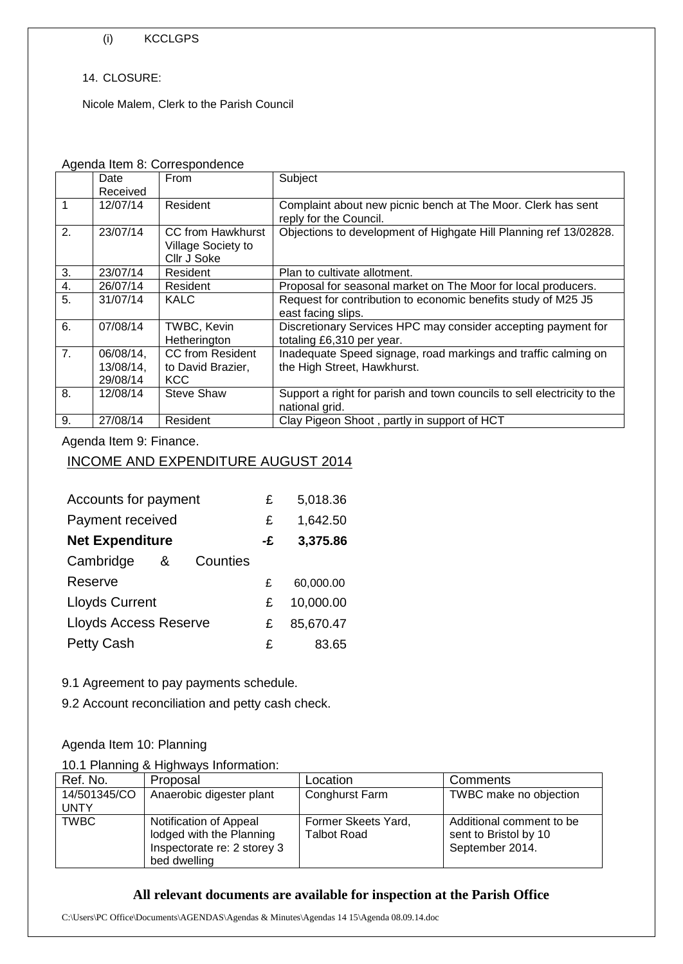#### (i) KCCLGPS

#### 14. CLOSURE:

Nicole Malem, Clerk to the Parish Council

#### Agenda Item 8: Correspondence

|             | Date<br>Received                   | <b>From</b>                                            | Subject                                                                                       |
|-------------|------------------------------------|--------------------------------------------------------|-----------------------------------------------------------------------------------------------|
| $\mathbf 1$ | 12/07/14                           | Resident                                               | Complaint about new picnic bench at The Moor. Clerk has sent<br>reply for the Council.        |
| 2.          | 23/07/14                           | CC from Hawkhurst<br>Village Society to<br>Cllr J Soke | Objections to development of Highgate Hill Planning ref 13/02828.                             |
| 3.          | 23/07/14                           | Resident                                               | Plan to cultivate allotment.                                                                  |
| 4.          | 26/07/14                           | Resident                                               | Proposal for seasonal market on The Moor for local producers.                                 |
| 5.          | 31/07/14                           | <b>KALC</b>                                            | Request for contribution to economic benefits study of M25 J5<br>east facing slips.           |
| 6.          | 07/08/14                           | TWBC, Kevin<br>Hetherington                            | Discretionary Services HPC may consider accepting payment for<br>totaling £6,310 per year.    |
| 7.          | 06/08/14,<br>13/08/14,<br>29/08/14 | CC from Resident<br>to David Brazier,<br><b>KCC</b>    | Inadequate Speed signage, road markings and traffic calming on<br>the High Street, Hawkhurst. |
| 8.          | 12/08/14                           | <b>Steve Shaw</b>                                      | Support a right for parish and town councils to sell electricity to the<br>national grid.     |
| 9.          | 27/08/14                           | Resident                                               | Clay Pigeon Shoot, partly in support of HCT                                                   |

### Agenda Item 9: Finance.

# INCOME AND EXPENDITURE AUGUST 2014

| Accounts for payment         | £  | 5,018.36  |
|------------------------------|----|-----------|
| Payment received             | £  | 1,642.50  |
| <b>Net Expenditure</b>       | -£ | 3,375.86  |
| Cambridge<br>Counties<br>&   |    |           |
| Reserve                      | £  | 60,000.00 |
| <b>Lloyds Current</b>        | £  | 10,000.00 |
| <b>Lloyds Access Reserve</b> | £  | 85,670.47 |
| <b>Petty Cash</b>            | £  | 83.65     |

9.1 Agreement to pay payments schedule.

9.2 Account reconciliation and petty cash check.

## Agenda Item 10: Planning

#### 10.1 Planning & Highways Information:

| Ref. No.                    | Proposal                                                                                          | Location                                  | Comments                                                             |
|-----------------------------|---------------------------------------------------------------------------------------------------|-------------------------------------------|----------------------------------------------------------------------|
| 14/501345/CO<br><b>UNTY</b> | Anaerobic digester plant                                                                          | Conghurst Farm                            | TWBC make no objection                                               |
| <b>TWBC</b>                 | Notification of Appeal<br>lodged with the Planning<br>Inspectorate re: 2 storey 3<br>bed dwelling | Former Skeets Yard,<br><b>Talbot Road</b> | Additional comment to be<br>sent to Bristol by 10<br>September 2014. |

## **All relevant documents are available for inspection at the Parish Office**

C:\Users\PC Office\Documents\AGENDAS\Agendas & Minutes\Agendas 14 15\Agenda 08.09.14.doc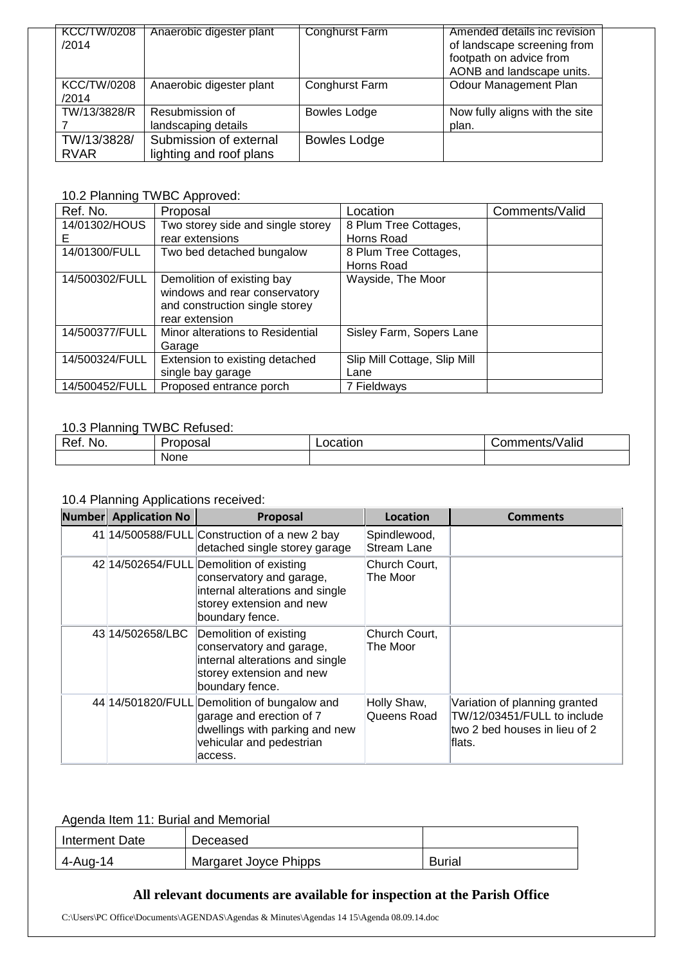| <b>KCC/TW/0208</b><br>/2014 | Anaerobic digester plant                          | <b>Conghurst Farm</b> | Amended details inc revision<br>of landscape screening from<br>footpath on advice from<br>AONB and landscape units. |
|-----------------------------|---------------------------------------------------|-----------------------|---------------------------------------------------------------------------------------------------------------------|
| <b>KCC/TW/0208</b><br>/2014 | Anaerobic digester plant                          | Conghurst Farm        | Odour Management Plan                                                                                               |
| TW/13/3828/R                | Resubmission of<br>landscaping details            | <b>Bowles Lodge</b>   | Now fully aligns with the site<br>plan.                                                                             |
| TW/13/3828/<br><b>RVAR</b>  | Submission of external<br>lighting and roof plans | <b>Bowles Lodge</b>   |                                                                                                                     |

# 10.2 Planning TWBC Approved:

| Ref. No.       | Proposal                          | Location                     | Comments/Valid |
|----------------|-----------------------------------|------------------------------|----------------|
| 14/01302/HOUS  | Two storey side and single storey | 8 Plum Tree Cottages,        |                |
| E.             | rear extensions                   | Horns Road                   |                |
| 14/01300/FULL  | Two bed detached bungalow         | 8 Plum Tree Cottages,        |                |
|                |                                   | Horns Road                   |                |
| 14/500302/FULL | Demolition of existing bay        | Wayside, The Moor            |                |
|                | windows and rear conservatory     |                              |                |
|                | and construction single storey    |                              |                |
|                | rear extension                    |                              |                |
| 14/500377/FULL | Minor alterations to Residential  | Sisley Farm, Sopers Lane     |                |
|                | Garage                            |                              |                |
| 14/500324/FULL | Extension to existing detached    | Slip Mill Cottage, Slip Mill |                |
|                | single bay garage                 | Lane                         |                |
| 14/500452/FULL | Proposed entrance porch           | 7 Fieldways                  |                |

## 10.3 Planning TWBC Refused:

| Ref<br>No. | 'roposai | ocation | .<br>Valid<br>⊃omments/\ |
|------------|----------|---------|--------------------------|
|            | None     |         |                          |

## 10.4 Planning Applications received:

| <b>Number</b> Application No | <b>Proposal</b>                                                                                                                                        | Location                           | <b>Comments</b>                                                                                           |
|------------------------------|--------------------------------------------------------------------------------------------------------------------------------------------------------|------------------------------------|-----------------------------------------------------------------------------------------------------------|
|                              | 41 14/500588/FULL Construction of a new 2 bay<br>detached single storey garage                                                                         | Spindlewood,<br><b>Stream Lane</b> |                                                                                                           |
|                              | 42 14/502654/FULL Demolition of existing<br>conservatory and garage,<br>internal alterations and single<br>storey extension and new<br>boundary fence. | Church Court,<br>The Moor          |                                                                                                           |
| 43 14/502658/LBC             | Demolition of existing<br>conservatory and garage,<br>internal alterations and single<br>storey extension and new<br>boundary fence.                   | Church Court,<br>The Moor          |                                                                                                           |
|                              | 44 14/501820/FULL Demolition of bungalow and<br>garage and erection of 7<br>dwellings with parking and new<br>vehicular and pedestrian<br>laccess.     | Holly Shaw,<br>Queens Road         | Variation of planning granted<br>TW/12/03451/FULL to include<br>ltwo 2 bed houses in lieu of 2<br>lflats. |

## Agenda Item 11: Burial and Memorial

| Interment Date | Deceased              |               |
|----------------|-----------------------|---------------|
| 4-Aug-14       | Margaret Joyce Phipps | <b>Burial</b> |

## **All relevant documents are available for inspection at the Parish Office**

C:\Users\PC Office\Documents\AGENDAS\Agendas & Minutes\Agendas 14 15\Agenda 08.09.14.doc